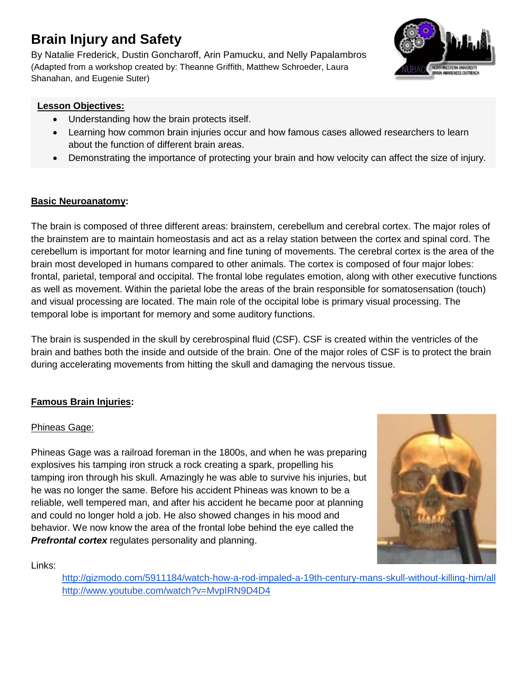# **Brain Injury and Safety**

By Natalie Frederick, Dustin Goncharoff, Arin Pamucku, and Nelly Papalambros (Adapted from a workshop created by: Theanne Griffith, Matthew Schroeder, Laura Shanahan, and Eugenie Suter)



## **Lesson Objectives:**

- Understanding how the brain protects itself.
- Learning how common brain injuries occur and how famous cases allowed researchers to learn about the function of different brain areas.
- Demonstrating the importance of protecting your brain and how velocity can affect the size of injury.

# **Basic Neuroanatomy:**

The brain is composed of three different areas: brainstem, cerebellum and cerebral cortex. The major roles of the brainstem are to maintain homeostasis and act as a relay station between the cortex and spinal cord. The cerebellum is important for motor learning and fine tuning of movements. The cerebral cortex is the area of the brain most developed in humans compared to other animals. The cortex is composed of four major lobes: frontal, parietal, temporal and occipital. The frontal lobe regulates emotion, along with other executive functions as well as movement. Within the parietal lobe the areas of the brain responsible for somatosensation (touch) and visual processing are located. The main role of the occipital lobe is primary visual processing. The temporal lobe is important for memory and some auditory functions.

The brain is suspended in the skull by cerebrospinal fluid (CSF). CSF is created within the ventricles of the brain and bathes both the inside and outside of the brain. One of the major roles of CSF is to protect the brain during accelerating movements from hitting the skull and damaging the nervous tissue.

# **Famous Brain Injuries:**

# Phineas Gage:

Phineas Gage was a railroad foreman in the 1800s, and when he was preparing explosives his tamping iron struck a rock creating a spark, propelling his tamping iron through his skull. Amazingly he was able to survive his injuries, but he was no longer the same. Before his accident Phineas was known to be a reliable, well tempered man, and after his accident he became poor at planning and could no longer hold a job. He also showed changes in his mood and behavior. We now know the area of the frontal lobe behind the eye called the **Prefrontal cortex** regulates personality and planning.



Links:

<http://gizmodo.com/5911184/watch-how-a-rod-impaled-a-19th-century-mans-skull-without-killing-him/all> <http://www.youtube.com/watch?v=MvpIRN9D4D4>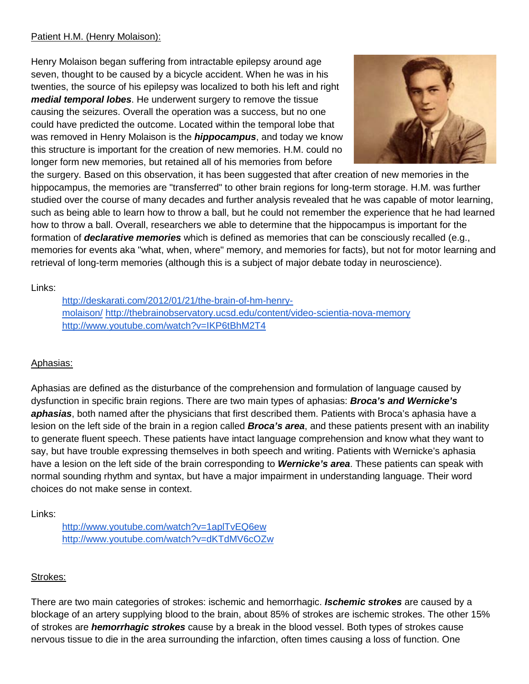#### Patient H.M. (Henry Molaison):

Henry Molaison began suffering from intractable epilepsy around age seven, thought to be caused by a bicycle accident. When he was in his twenties, the source of his epilepsy was localized to both his left and right *medial temporal lobes*. He underwent surgery to remove the tissue causing the seizures. Overall the operation was a success, but no one could have predicted the outcome. Located within the temporal lobe that was removed in Henry Molaison is the *hippocampus*, and today we know this structure is important for the creation of new memories. H.M. could no longer form new memories, but retained all of his memories from before



the surgery. Based on this observation, it has been suggested that after creation of new memories in the hippocampus, the memories are "transferred" to other brain regions for long-term storage. H.M. was further studied over the course of many decades and further analysis revealed that he was capable of motor learning, such as being able to learn how to throw a ball, but he could not remember the experience that he had learned how to throw a ball. Overall, researchers we able to determine that the hippocampus is important for the formation of *declarative memories* which is defined as memories that can be consciously recalled (e.g., memories for events aka "what, when, where" memory, and memories for facts), but not for motor learning and retrieval of long-term memories (although this is a subject of major debate today in neuroscience).

Links:

[http://deskarati.com/2012/01/21/the-brain-of-hm-henry](http://deskarati.com/2012/01/21/the-brain-of-hm-henry-molaison/)[molaison/](http://deskarati.com/2012/01/21/the-brain-of-hm-henry-molaison/) <http://thebrainobservatory.ucsd.edu/content/video-scientia-nova-memory> <http://www.youtube.com/watch?v=IKP6tBhM2T4>

## Aphasias:

Aphasias are defined as the disturbance of the comprehension and formulation of language caused by dysfunction in specific brain regions. There are two main types of aphasias: *Broca's and Wernicke's aphasias*, both named after the physicians that first described them. Patients with Broca's aphasia have a lesion on the left side of the brain in a region called *Broca's area*, and these patients present with an inability to generate fluent speech. These patients have intact language comprehension and know what they want to say, but have trouble expressing themselves in both speech and writing. Patients with Wernicke's aphasia have a lesion on the left side of the brain corresponding to *Wernicke's area*. These patients can speak with normal sounding rhythm and syntax, but have a major impairment in understanding language. Their word choices do not make sense in context.

Links:

<http://www.youtube.com/watch?v=1aplTvEQ6ew> <http://www.youtube.com/watch?v=dKTdMV6cOZw>

## Strokes:

There are two main categories of strokes: ischemic and hemorrhagic. *Ischemic strokes* are caused by a blockage of an artery supplying blood to the brain, about 85% of strokes are ischemic strokes. The other 15% of strokes are *hemorrhagic strokes* cause by a break in the blood vessel. Both types of strokes cause nervous tissue to die in the area surrounding the infarction, often times causing a loss of function. One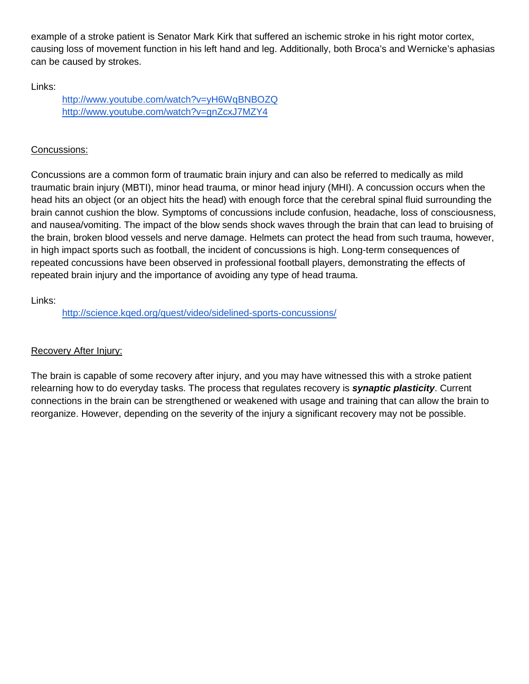example of a stroke patient is Senator Mark Kirk that suffered an ischemic stroke in his right motor cortex, causing loss of movement function in his left hand and leg. Additionally, both Broca's and Wernicke's aphasias can be caused by strokes.

Links:

<http://www.youtube.com/watch?v=yH6WqBNBOZQ> <http://www.youtube.com/watch?v=gnZcxJ7MZY4>

## Concussions:

Concussions are a common form of traumatic brain injury and can also be referred to medically as mild traumatic brain injury (MBTI), minor head trauma, or minor head injury (MHI). A concussion occurs when the head hits an object (or an object hits the head) with enough force that the cerebral spinal fluid surrounding the brain cannot cushion the blow. Symptoms of concussions include confusion, headache, loss of consciousness, and nausea/vomiting. The impact of the blow sends shock waves through the brain that can lead to bruising of the brain, broken blood vessels and nerve damage. Helmets can protect the head from such trauma, however, in high impact sports such as football, the incident of concussions is high. Long-term consequences of repeated concussions have been observed in professional football players, demonstrating the effects of repeated brain injury and the importance of avoiding any type of head trauma.

## Links:

<http://science.kqed.org/quest/video/sidelined-sports-concussions/>

## Recovery After Injury:

The brain is capable of some recovery after injury, and you may have witnessed this with a stroke patient relearning how to do everyday tasks. The process that regulates recovery is *synaptic plasticity*. Current connections in the brain can be strengthened or weakened with usage and training that can allow the brain to reorganize. However, depending on the severity of the injury a significant recovery may not be possible.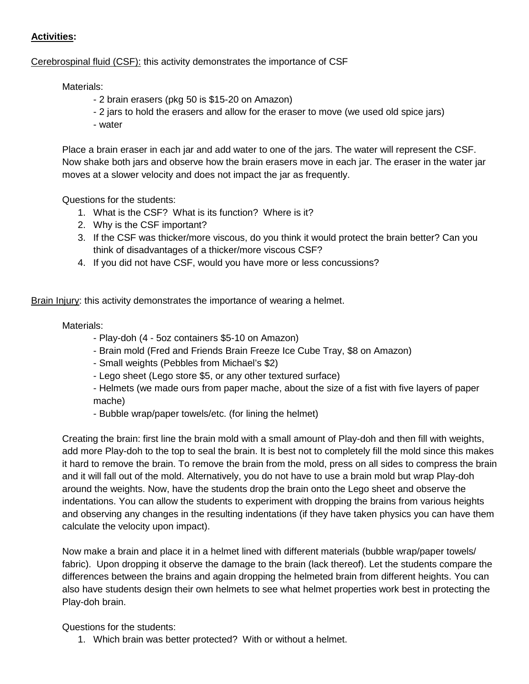#### **Activities:**

Cerebrospinal fluid (CSF): this activity demonstrates the importance of CSF

Materials:

- 2 brain erasers (pkg 50 is \$15-20 on Amazon)
- 2 jars to hold the erasers and allow for the eraser to move (we used old spice jars)
- water

Place a brain eraser in each jar and add water to one of the jars. The water will represent the CSF. Now shake both jars and observe how the brain erasers move in each jar. The eraser in the water jar moves at a slower velocity and does not impact the jar as frequently.

Questions for the students:

- 1. What is the CSF? What is its function? Where is it?
- 2. Why is the CSF important?
- 3. If the CSF was thicker/more viscous, do you think it would protect the brain better? Can you think of disadvantages of a thicker/more viscous CSF?
- 4. If you did not have CSF, would you have more or less concussions?

Brain Injury: this activity demonstrates the importance of wearing a helmet.

#### Materials:

- Play-doh (4 5oz containers \$5-10 on Amazon)
- Brain mold (Fred and Friends Brain Freeze Ice Cube Tray, \$8 on Amazon)
- Small weights (Pebbles from Michael's \$2)
- Lego sheet (Lego store \$5, or any other textured surface)
- Helmets (we made ours from paper mache, about the size of a fist with five layers of paper mache)
- Bubble wrap/paper towels/etc. (for lining the helmet)

Creating the brain: first line the brain mold with a small amount of Play-doh and then fill with weights, add more Play-doh to the top to seal the brain. It is best not to completely fill the mold since this makes it hard to remove the brain. To remove the brain from the mold, press on all sides to compress the brain and it will fall out of the mold. Alternatively, you do not have to use a brain mold but wrap Play-doh around the weights. Now, have the students drop the brain onto the Lego sheet and observe the indentations. You can allow the students to experiment with dropping the brains from various heights and observing any changes in the resulting indentations (if they have taken physics you can have them calculate the velocity upon impact).

Now make a brain and place it in a helmet lined with different materials (bubble wrap/paper towels/ fabric). Upon dropping it observe the damage to the brain (lack thereof). Let the students compare the differences between the brains and again dropping the helmeted brain from different heights. You can also have students design their own helmets to see what helmet properties work best in protecting the Play-doh brain.

Questions for the students:

1. Which brain was better protected? With or without a helmet.